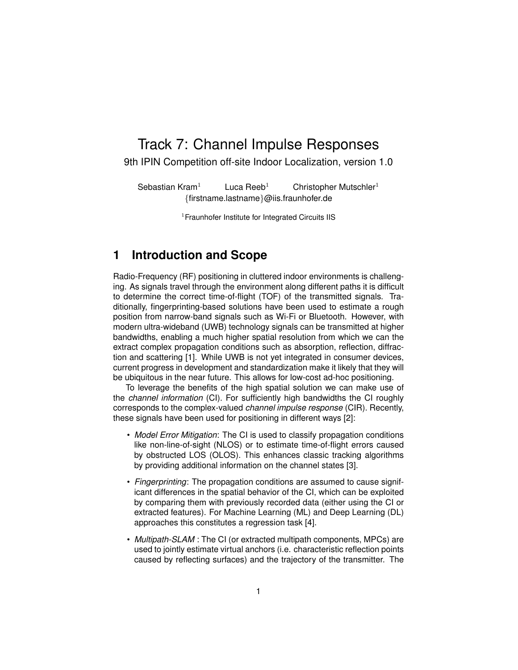# Track 7: Channel Impulse Responses

9th IPIN Competition off-site Indoor Localization, version 1.0

Sebastian Kram<sup>1</sup> Luca Reeb<sup>1</sup> Christopher Mutschler<sup>1</sup> {firstname.lastname}@iis.fraunhofer.de

<sup>1</sup> Fraunhofer Institute for Integrated Circuits IIS

#### **1 Introduction and Scope**

Radio-Frequency (RF) positioning in cluttered indoor environments is challenging. As signals travel through the environment along different paths it is difficult to determine the correct time-of-flight (TOF) of the transmitted signals. Traditionally, fingerprinting-based solutions have been used to estimate a rough position from narrow-band signals such as Wi-Fi or Bluetooth. However, with modern ultra-wideband (UWB) technology signals can be transmitted at higher bandwidths, enabling a much higher spatial resolution from which we can the extract complex propagation conditions such as absorption, reflection, diffraction and scattering [1]. While UWB is not yet integrated in consumer devices, current progress in development and standardization make it likely that they will be ubiquitous in the near future. This allows for low-cost ad-hoc positioning.

To leverage the benefits of the high spatial solution we can make use of the *channel information* (CI). For sufficiently high bandwidths the CI roughly corresponds to the complex-valued *channel impulse response* (CIR). Recently, these signals have been used for positioning in different ways [2]:

- *Model Error Mitigation*: The CI is used to classify propagation conditions like non-line-of-sight (NLOS) or to estimate time-of-flight errors caused by obstructed LOS (OLOS). This enhances classic tracking algorithms by providing additional information on the channel states [3].
- *Fingerprinting*: The propagation conditions are assumed to cause significant differences in the spatial behavior of the CI, which can be exploited by comparing them with previously recorded data (either using the CI or extracted features). For Machine Learning (ML) and Deep Learning (DL) approaches this constitutes a regression task [4].
- *Multipath-SLAM* : The CI (or extracted multipath components, MPCs) are used to jointly estimate virtual anchors (i.e. characteristic reflection points caused by reflecting surfaces) and the trajectory of the transmitter. The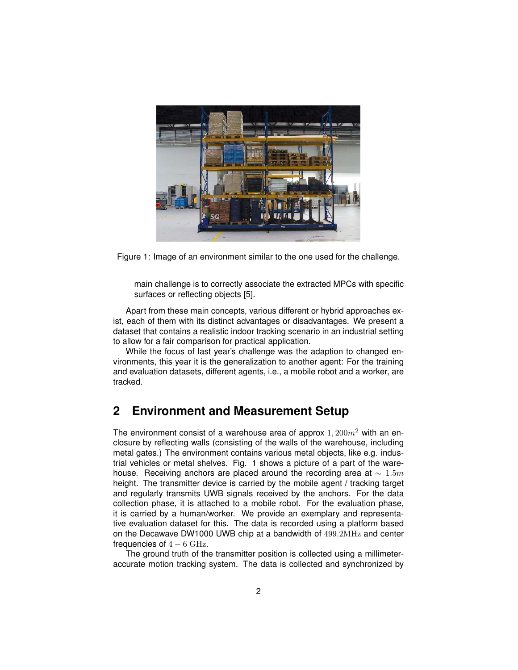

Figure 1: Image of an environment similar to the one used for the challenge.

main challenge is to correctly associate the extracted MPCs with specific surfaces or reflecting objects [5].

Apart from these main concepts, various different or hybrid approaches exist, each of them with its distinct advantages or disadvantages. We present a dataset that contains a realistic indoor tracking scenario in an industrial setting to allow for a fair comparison for practical application.

While the focus of last year's challenge was the adaption to changed environments, this year it is the generalization to another agent: For the training and evaluation datasets, different agents, i.e., a mobile robot and a worker, are tracked.

#### **2 Environment and Measurement Setup**

The environment consist of a warehouse area of approx  $1,200m^2$  with an enclosure by reflecting walls (consisting of the walls of the warehouse, including metal gates.) The environment contains various metal objects, like e.g. industrial vehicles or metal shelves. Fig. 1 shows a picture of a part of the warehouse. Receiving anchors are placed around the recording area at  $\sim 1.5m$ height. The transmitter device is carried by the mobile agent / tracking target and regularly transmits UWB signals received by the anchors. For the data collection phase, it is attached to a mobile robot. For the evaluation phase, it is carried by a human/worker. We provide an exemplary and representative evaluation dataset for this. The data is recorded using a platform based on the Decawave DW1000 UWB chip at a bandwidth of 499.2MHz and center frequencies of  $4 - 6$  GHz.

The ground truth of the transmitter position is collected using a millimeteraccurate motion tracking system. The data is collected and synchronized by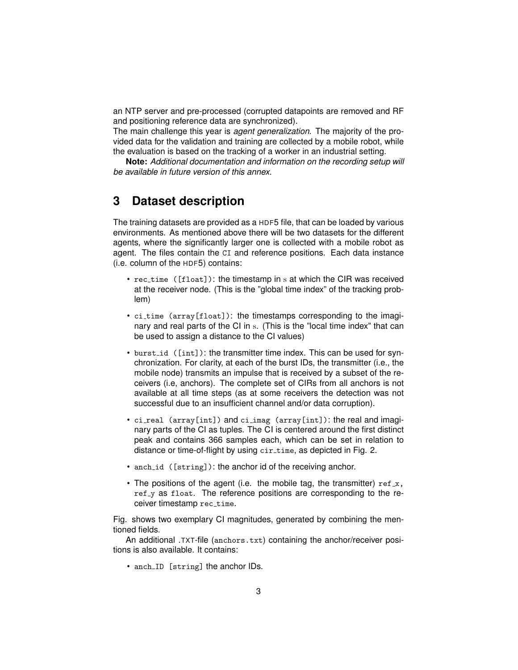an NTP server and pre-processed (corrupted datapoints are removed and RF and positioning reference data are synchronized).

The main challenge this year is *agent generalization*. The majority of the provided data for the validation and training are collected by a mobile robot, while the evaluation is based on the tracking of a worker in an industrial setting.

**Note:** *Additional documentation and information on the recording setup will be available in future version of this annex.*

#### **3 Dataset description**

The training datasets are provided as a HDF5 file, that can be loaded by various environments. As mentioned above there will be two datasets for the different agents, where the significantly larger one is collected with a mobile robot as agent. The files contain the CI and reference positions. Each data instance (i.e. column of the HDF5) contains:

- rec\_time ([float]): the timestamp in s at which the CIR was received at the receiver node. (This is the "global time index" of the tracking problem)
- ci\_time (array[float]): the timestamps corresponding to the imaginary and real parts of the CI in s. (This is the "local time index" that can be used to assign a distance to the CI values)
- burst<sub>id</sub> ([int]): the transmitter time index. This can be used for synchronization. For clarity, at each of the burst IDs, the transmitter (i.e., the mobile node) transmits an impulse that is received by a subset of the receivers (i.e, anchors). The complete set of CIRs from all anchors is not available at all time steps (as at some receivers the detection was not successful due to an insufficient channel and/or data corruption).
- ci\_real (array[int]) and ci\_imag (array[int]): the real and imaginary parts of the CI as tuples. The CI is centered around the first distinct peak and contains 366 samples each, which can be set in relation to distance or time-of-flight by using cir\_time, as depicted in Fig. 2.
- anch id ([string]): the anchor id of the receiving anchor.
- The positions of the agent (i.e. the mobile tag, the transmitter)  $ref_x$ , ref y as float. The reference positions are corresponding to the receiver timestamp rec\_time.

Fig. shows two exemplary CI magnitudes, generated by combining the mentioned fields.

An additional .TXT-file (anchors.txt) containing the anchor/receiver positions is also available. It contains:

• anch\_ID [string] the anchor IDs.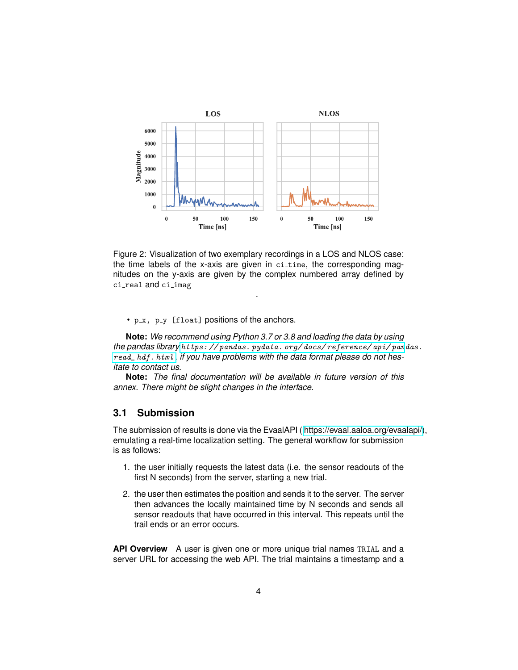

Figure 2: Visualization of two exemplary recordings in a LOS and NLOS case: the time labels of the x-axis are given in  $c$ i\_time, the corresponding magnitudes on the y-axis are given by the complex numbered array defined by ci real and ci imag

.

•  $p_x$ ,  $p_y$  [float] positions of the anchors.

**Note:** *We recommend using Python 3.7 or 3.8 and loading the data by using the pandas library [https: // pandas. pydata. org/ docs/ reference/ api/ pan](https://pandas.pydata.org/docs/reference/api/pandas.read_hdf.html)das. [read\\_ hdf. html](https://pandas.pydata.org/docs/reference/api/pandas.read_hdf.html) , if you have problems with the data format please do not hesitate to contact us.*

**Note:** *The final documentation will be available in future version of this annex. There might be slight changes in the interface.*

#### **3.1 Submission**

The submission of results is done via the EvaalAPI ( [https://evaal.aaloa.org/evaalapi/\)](https://evaal.aaloa.org/evaalapi/), emulating a real-time localization setting. The general workflow for submission is as follows:

- 1. the user initially requests the latest data (i.e. the sensor readouts of the first N seconds) from the server, starting a new trial.
- 2. the user then estimates the position and sends it to the server. The server then advances the locally maintained time by N seconds and sends all sensor readouts that have occurred in this interval. This repeats until the trail ends or an error occurs.

**API Overview** A user is given one or more unique trial names TRIAL and a server URL for accessing the web API. The trial maintains a timestamp and a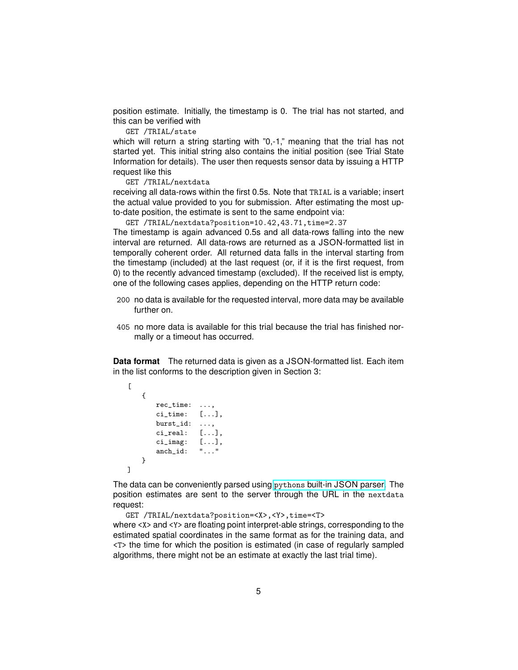position estimate. Initially, the timestamp is 0. The trial has not started, and this can be verified with

GET /TRIAL/state

which will return a string starting with "0,-1," meaning that the trial has not started yet. This initial string also contains the initial position (see Trial State Information for details). The user then requests sensor data by issuing a HTTP request like this

GET /TRIAL/nextdata

receiving all data-rows within the first 0.5s. Note that TRIAL is a variable; insert the actual value provided to you for submission. After estimating the most upto-date position, the estimate is sent to the same endpoint via:

GET /TRIAL/nextdata?position=10.42,43.71,time=2.37

The timestamp is again advanced 0.5s and all data-rows falling into the new interval are returned. All data-rows are returned as a JSON-formatted list in temporally coherent order. All returned data falls in the interval starting from the timestamp (included) at the last request (or, if it is the first request, from 0) to the recently advanced timestamp (excluded). If the received list is empty, one of the following cases applies, depending on the HTTP return code:

- 200 no data is available for the requested interval, more data may be available further on.
- 405 no more data is available for this trial because the trial has finished normally or a timeout has occurred.

**Data format** The returned data is given as a JSON-formatted list. Each item in the list conforms to the description given in Section 3:

```
\Gamma{
       rec_time: ...,
       ci_time: [...],
       burst_id: ...,
       ci_real: [...],
       ci_imag: [...],
       anch_id: "..."
   }
]
```
The data can be conveniently parsed using pythons [built-in JSON parser.](https://docs.python.org/3/library/json.html) The position estimates are sent to the server through the URL in the nextdata request:

```
GET /TRIAL/nextdata?position=<X>,<Y>,time=<T>
where <x> and <y> are floating point interpret-able strings, corresponding to the
estimated spatial coordinates in the same format as for the training data, and
<T> the time for which the position is estimated (in case of regularly sampled
algorithms, there might not be an estimate at exactly the last trial time).
```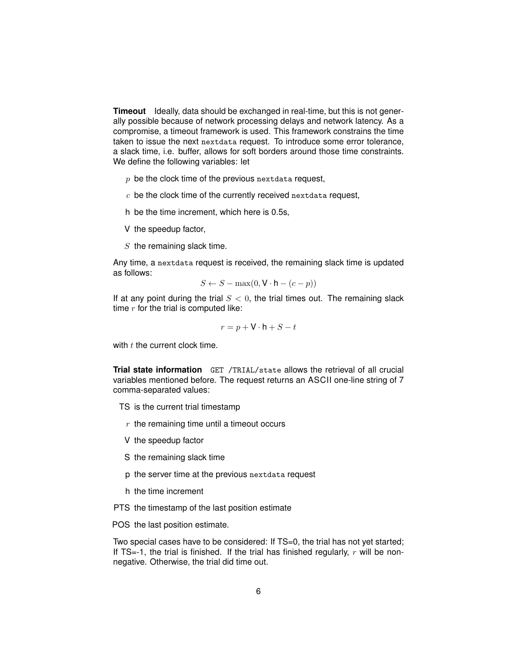**Timeout** Ideally, data should be exchanged in real-time, but this is not generally possible because of network processing delays and network latency. As a compromise, a timeout framework is used. This framework constrains the time taken to issue the next nextdata request. To introduce some error tolerance, a slack time, i.e. buffer, allows for soft borders around those time constraints. We define the following variables: let

- $p$  be the clock time of the previous nextdata request,
- $c$  be the clock time of the currently received nextdata request,
- h be the time increment, which here is 0.5s,
- V the speedup factor,
- $S$  the remaining slack time.

Any time, a nextdata request is received, the remaining slack time is updated as follows:

$$
S \leftarrow S - \max(0, \mathbf{V} \cdot \mathbf{h} - (c - p))
$$

If at any point during the trial  $S < 0$ , the trial times out. The remaining slack time  $r$  for the trial is computed like:

$$
r = p + \mathsf{V} \cdot \mathsf{h} + S - t
$$

with  $t$  the current clock time.

**Trial state information** GET /TRIAL/state allows the retrieval of all crucial variables mentioned before. The request returns an ASCII one-line string of 7 comma-separated values:

TS is the current trial timestamp

- $r$  the remaining time until a timeout occurs
- V the speedup factor
- S the remaining slack time
- p the server time at the previous nextdata request
- h the time increment
- PTS the timestamp of the last position estimate

POS the last position estimate.

Two special cases have to be considered: If TS=0, the trial has not yet started; If TS=-1, the trial is finished. If the trial has finished regularly,  $r$  will be nonnegative. Otherwise, the trial did time out.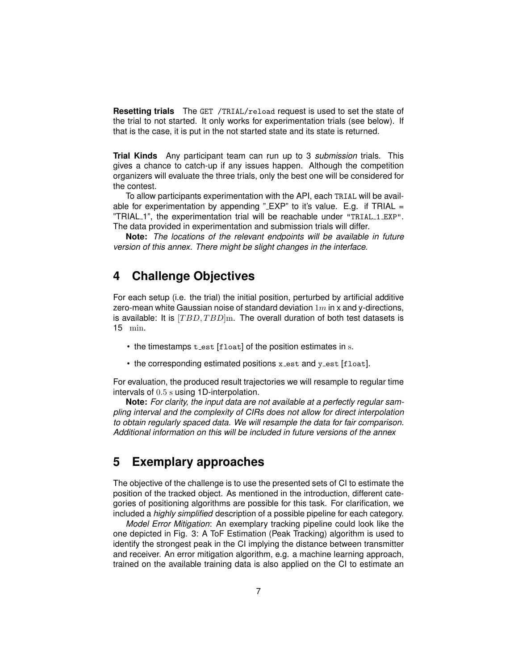**Resetting trials** The GET /TRIAL/reload request is used to set the state of the trial to not started. It only works for experimentation trials (see below). If that is the case, it is put in the not started state and its state is returned.

**Trial Kinds** Any participant team can run up to 3 *submission* trials. This gives a chance to catch-up if any issues happen. Although the competition organizers will evaluate the three trials, only the best one will be considered for the contest.

To allow participants experimentation with the API, each TRIAL will be available for experimentation by appending " $EXP$ " to it's value. E.g. if TRIAL = "TRIAL 1", the experimentation trial will be reachable under "TRIAL 1 EXP". The data provided in experimentation and submission trials will differ.

**Note:** *The locations of the relevant endpoints will be available in future version of this annex. There might be slight changes in the interface.*

#### **4 Challenge Objectives**

For each setup (i.e. the trial) the initial position, perturbed by artificial additive zero-mean white Gaussian noise of standard deviation  $1m$  in x and y-directions, is available: It is  $[TBD, TBD]$ m. The overall duration of both test datasets is 15 min.

- the timestamps  $t$  est [float] of the position estimates in s.
- the corresponding estimated positions x\_est and y\_est [float].

For evaluation, the produced result trajectories we will resample to regular time intervals of 0.5 s using 1D-interpolation.

**Note:** *For clarity, the input data are not available at a perfectly regular sampling interval and the complexity of CIRs does not allow for direct interpolation to obtain regularly spaced data. We will resample the data for fair comparison. Additional information on this will be included in future versions of the annex*

#### **5 Exemplary approaches**

The objective of the challenge is to use the presented sets of CI to estimate the position of the tracked object. As mentioned in the introduction, different categories of positioning algorithms are possible for this task. For clarification, we included a *highly simplified* description of a possible pipeline for each category.

*Model Error Mitigation*: An exemplary tracking pipeline could look like the one depicted in Fig. 3: A ToF Estimation (Peak Tracking) algorithm is used to identify the strongest peak in the CI implying the distance between transmitter and receiver. An error mitigation algorithm, e.g. a machine learning approach, trained on the available training data is also applied on the CI to estimate an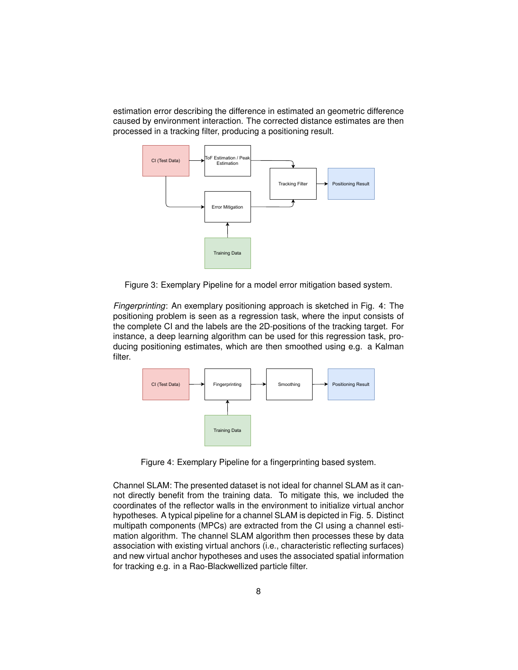estimation error describing the difference in estimated an geometric difference caused by environment interaction. The corrected distance estimates are then processed in a tracking filter, producing a positioning result.



Figure 3: Exemplary Pipeline for a model error mitigation based system.

*Fingerprinting*: An exemplary positioning approach is sketched in Fig. 4: The positioning problem is seen as a regression task, where the input consists of the complete CI and the labels are the 2D-positions of the tracking target. For instance, a deep learning algorithm can be used for this regression task, producing positioning estimates, which are then smoothed using e.g. a Kalman filter.



Figure 4: Exemplary Pipeline for a fingerprinting based system.

Channel SLAM: The presented dataset is not ideal for channel SLAM as it cannot directly benefit from the training data. To mitigate this, we included the coordinates of the reflector walls in the environment to initialize virtual anchor hypotheses. A typical pipeline for a channel SLAM is depicted in Fig. 5. Distinct multipath components (MPCs) are extracted from the CI using a channel estimation algorithm. The channel SLAM algorithm then processes these by data association with existing virtual anchors (i.e., characteristic reflecting surfaces) and new virtual anchor hypotheses and uses the associated spatial information for tracking e.g. in a Rao-Blackwellized particle filter.